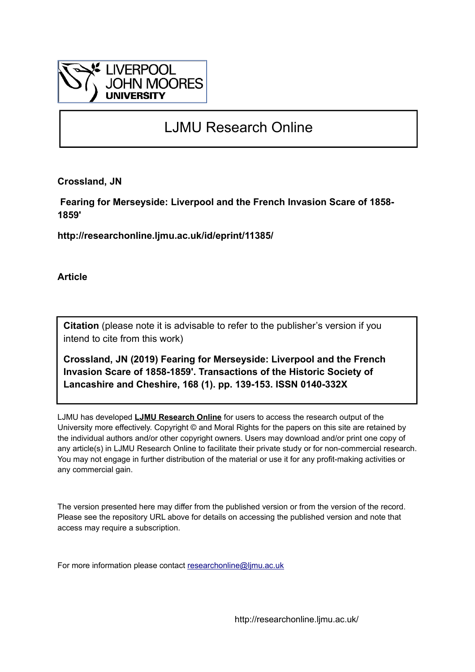

# LJMU Research Online

**Crossland, JN**

 **Fearing for Merseyside: Liverpool and the French Invasion Scare of 1858- 1859'**

**http://researchonline.ljmu.ac.uk/id/eprint/11385/**

**Article**

**Citation** (please note it is advisable to refer to the publisher's version if you intend to cite from this work)

**Crossland, JN (2019) Fearing for Merseyside: Liverpool and the French Invasion Scare of 1858-1859'. Transactions of the Historic Society of Lancashire and Cheshire, 168 (1). pp. 139-153. ISSN 0140-332X** 

LJMU has developed **[LJMU Research Online](http://researchonline.ljmu.ac.uk/)** for users to access the research output of the University more effectively. Copyright © and Moral Rights for the papers on this site are retained by the individual authors and/or other copyright owners. Users may download and/or print one copy of any article(s) in LJMU Research Online to facilitate their private study or for non-commercial research. You may not engage in further distribution of the material or use it for any profit-making activities or any commercial gain.

The version presented here may differ from the published version or from the version of the record. Please see the repository URL above for details on accessing the published version and note that access may require a subscription.

For more information please contact [researchonline@ljmu.ac.uk](mailto:researchonline@ljmu.ac.uk)

http://researchonline.ljmu.ac.uk/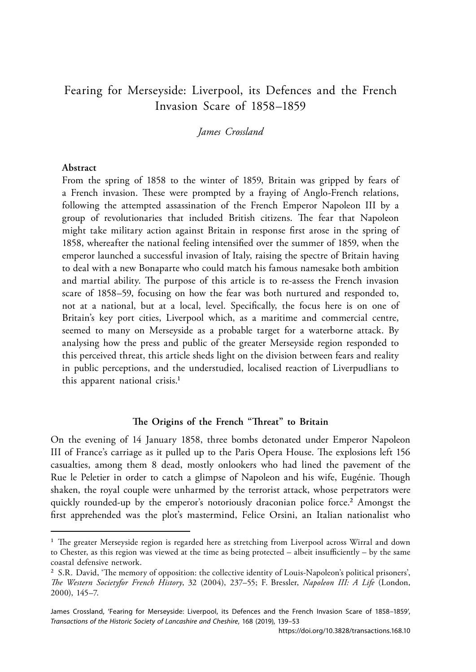# Fearing for Merseyside: Liverpool, its Defences and the French Invasion Scare of 1858–1859

*James Crossland*

# **Abstract**

From the spring of 1858 to the winter of 1859, Britain was gripped by fears of a French invasion. These were prompted by a fraying of Anglo-French relations, following the attempted assassination of the French Emperor Napoleon III by a group of revolutionaries that included British citizens. The fear that Napoleon might take military action against Britain in response first arose in the spring of 1858, whereafter the national feeling intensified over the summer of 1859, when the emperor launched a successful invasion of Italy, raising the spectre of Britain having to deal with a new Bonaparte who could match his famous namesake both ambition and martial ability. The purpose of this article is to re-assess the French invasion scare of 1858–59, focusing on how the fear was both nurtured and responded to, not at a national, but at a local, level. Specifically, the focus here is on one of Britain's key port cities, Liverpool which, as a maritime and commercial centre, seemed to many on Merseyside as a probable target for a waterborne attack. By analysing how the press and public of the greater Merseyside region responded to this perceived threat, this article sheds light on the division between fears and reality in public perceptions, and the understudied, localised reaction of Liverpudlians to this apparent national crisis.<sup>1</sup>

## **The Origins of the French "Threat" to Britain**

On the evening of 14 January 1858, three bombs detonated under Emperor Napoleon III of France's carriage as it pulled up to the Paris Opera House. The explosions left 156 casualties, among them 8 dead, mostly onlookers who had lined the pavement of the Rue le Peletier in order to catch a glimpse of Napoleon and his wife, Eugénie. Though shaken, the royal couple were unharmed by the terrorist attack, whose perpetrators were quickly rounded-up by the emperor's notoriously draconian police force.2 Amongst the first apprehended was the plot's mastermind, Felice Orsini, an Italian nationalist who

<sup>&</sup>lt;sup>1</sup> The greater Merseyside region is regarded here as stretching from Liverpool across Wirral and down to Chester, as this region was viewed at the time as being protected – albeit insufficiently – by the same coastal defensive network.

<sup>2</sup> S.R. David, 'The memory of opposition: the collective identity of Louis-Napoleon's political prisoners', *The Western Societyfor French History*, 32 (2004), 237–55; F. Bressler, *Napoleon III: A Life* (London, 2000), 145–7.

James Crossland, 'Fearing for Merseyside: Liverpool, its Defences and the French Invasion Scare of 1858–1859', *Transactions of the Historic Society of Lancashire and Cheshire*, 168 (2019), 139–53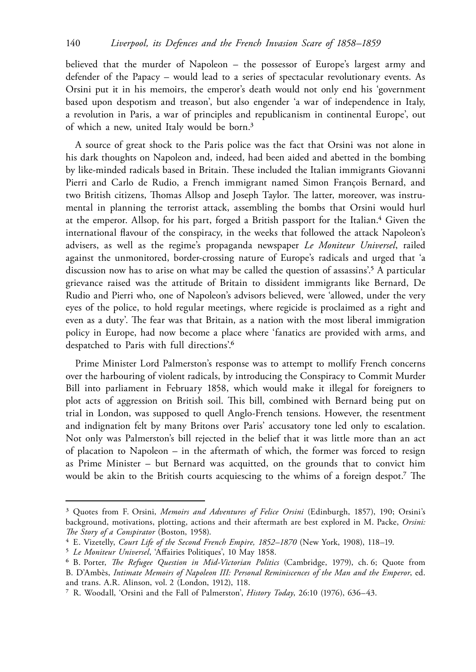believed that the murder of Napoleon – the possessor of Europe's largest army and defender of the Papacy – would lead to a series of spectacular revolutionary events. As Orsini put it in his memoirs, the emperor's death would not only end his 'government based upon despotism and treason', but also engender 'a war of independence in Italy, a revolution in Paris, a war of principles and republicanism in continental Europe', out of which a new, united Italy would be born.3

A source of great shock to the Paris police was the fact that Orsini was not alone in his dark thoughts on Napoleon and, indeed, had been aided and abetted in the bombing by like-minded radicals based in Britain. These included the Italian immigrants Giovanni Pierri and Carlo de Rudio, a French immigrant named Simon François Bernard, and two British citizens, Thomas Allsop and Joseph Taylor. The latter, moreover, was instrumental in planning the terrorist attack, assembling the bombs that Orsini would hurl at the emperor. Allsop, for his part, forged a British passport for the Italian.4 Given the international flavour of the conspiracy, in the weeks that followed the attack Napoleon's advisers, as well as the regime's propaganda newspaper *Le Moniteur Universel*, railed against the unmonitored, border-crossing nature of Europe's radicals and urged that 'a discussion now has to arise on what may be called the question of assassins'.5 A particular grievance raised was the attitude of Britain to dissident immigrants like Bernard, De Rudio and Pierri who, one of Napoleon's advisors believed, were 'allowed, under the very eyes of the police, to hold regular meetings, where regicide is proclaimed as a right and even as a duty'. The fear was that Britain, as a nation with the most liberal immigration policy in Europe, had now become a place where 'fanatics are provided with arms, and despatched to Paris with full directions'.6

Prime Minister Lord Palmerston's response was to attempt to mollify French concerns over the harbouring of violent radicals, by introducing the Conspiracy to Commit Murder Bill into parliament in February 1858, which would make it illegal for foreigners to plot acts of aggression on British soil. This bill, combined with Bernard being put on trial in London, was supposed to quell Anglo-French tensions. However, the resentment and indignation felt by many Britons over Paris' accusatory tone led only to escalation. Not only was Palmerston's bill rejected in the belief that it was little more than an act of placation to Napoleon – in the aftermath of which, the former was forced to resign as Prime Minister – but Bernard was acquitted, on the grounds that to convict him would be akin to the British courts acquiescing to the whims of a foreign despot.7 The

<sup>3</sup> Quotes from F. Orsini, *Memoirs and Adventures of Felice Orsini* (Edinburgh, 1857), 190; Orsini's background, motivations, plotting, actions and their aftermath are best explored in M. Packe, *Orsini: The Story of a Conspirator* (Boston, 1958).

<sup>4</sup> E. Vizetelly, *Court Life of the Second French Empire, 1852–1870* (New York, 1908), 118–19.

<sup>5</sup> *Le Moniteur Universel*, 'Affairies Politiques', 10 May 1858.

<sup>6</sup> B. Porter, *The Refugee Question in Mid-Victorian Politics* (Cambridge, 1979), ch. 6; Quote from B. D'Ambès, *Intimate Memoirs of Napoleon III: Personal Reminiscences of the Man and the Emperor*, ed. and trans. A.R. Alinson, vol. 2 (London, 1912), 118.

<sup>7</sup> R. Woodall, 'Orsini and the Fall of Palmerston', *History Today*, 26:10 (1976), 636–43.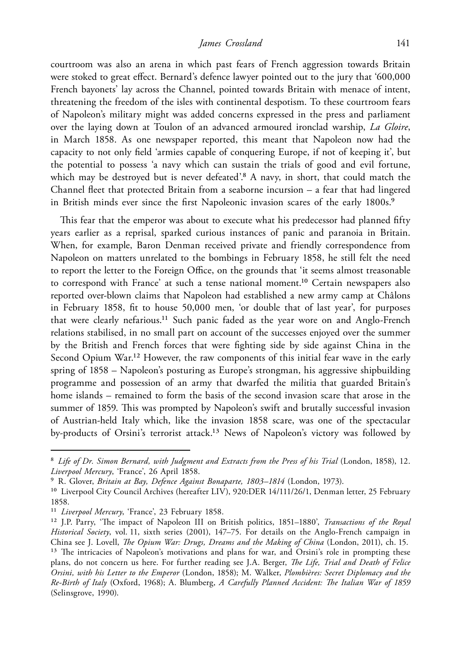courtroom was also an arena in which past fears of French aggression towards Britain were stoked to great effect. Bernard's defence lawyer pointed out to the jury that '600,000 French bayonets' lay across the Channel, pointed towards Britain with menace of intent, threatening the freedom of the isles with continental despotism. To these courtroom fears of Napoleon's military might was added concerns expressed in the press and parliament over the laying down at Toulon of an advanced armoured ironclad warship, *La Gloire*, in March 1858. As one newspaper reported, this meant that Napoleon now had the capacity to not only field 'armies capable of conquering Europe, if not of keeping it', but the potential to possess 'a navy which can sustain the trials of good and evil fortune, which may be destroyed but is never defeated'.<sup>8</sup> A navy, in short, that could match the Channel fleet that protected Britain from a seaborne incursion – a fear that had lingered in British minds ever since the first Napoleonic invasion scares of the early 1800s.<sup>9</sup>

This fear that the emperor was about to execute what his predecessor had planned fifty years earlier as a reprisal, sparked curious instances of panic and paranoia in Britain. When, for example, Baron Denman received private and friendly correspondence from Napoleon on matters unrelated to the bombings in February 1858, he still felt the need to report the letter to the Foreign Office, on the grounds that 'it seems almost treasonable to correspond with France' at such a tense national moment.10 Certain newspapers also reported over-blown claims that Napoleon had established a new army camp at Châlons in February 1858, fit to house 50,000 men, 'or double that of last year', for purposes that were clearly nefarious.<sup>11</sup> Such panic faded as the year wore on and Anglo-French relations stabilised, in no small part on account of the successes enjoyed over the summer by the British and French forces that were fighting side by side against China in the Second Opium War.<sup>12</sup> However, the raw components of this initial fear wave in the early spring of 1858 – Napoleon's posturing as Europe's strongman, his aggressive shipbuilding programme and possession of an army that dwarfed the militia that guarded Britain's home islands – remained to form the basis of the second invasion scare that arose in the summer of 1859. This was prompted by Napoleon's swift and brutally successful invasion of Austrian-held Italy which, like the invasion 1858 scare, was one of the spectacular by-products of Orsini's terrorist attack.<sup>13</sup> News of Napoleon's victory was followed by

<sup>&</sup>lt;sup>8</sup> Life of Dr. Simon Bernard, with Judgment and Extracts from the Press of his Trial (London, 1858), 12. *Liverpool Mercury*, 'France', 26 April 1858.

<sup>9</sup> R. Glover, *Britain at Bay, Defence Against Bonaparte, 1803–1814* (London, 1973).

<sup>&</sup>lt;sup>10</sup> Liverpool City Council Archives (hereafter LIV), 920:DER 14/111/26/1, Denman letter, 25 February 1858.

<sup>11</sup> *Liverpool Mercury*, 'France', 23 February 1858.

<sup>12</sup> J.P. Parry, 'The impact of Napoleon III on British politics, 1851–1880', *Transactions of the Royal Historical Society*, vol. 11, sixth series (2001), 147–75. For details on the Anglo-French campaign in China see J. Lovell, *The Opium War: Drugs, Dreams and the Making of China* (London, 2011), ch. 15. <sup>13</sup> The intricacies of Napoleon's motivations and plans for war, and Orsini's role in prompting these plans, do not concern us here. For further reading see J.A. Berger, *The Life, Trial and Death of Felice* 

*Orsini, with his Letter to the Emperor* (London, 1858); M. Walker, *Plombières: Secret Diplomacy and the Re-Birth of Italy* (Oxford, 1968); A. Blumberg, *A Carefully Planned Accident: The Italian War of 1859* (Selinsgrove, 1990).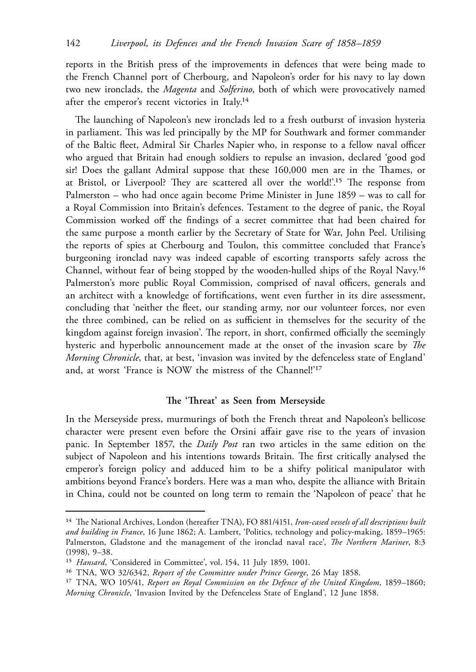reports in the British press of the improvements in defences that were being made to the French Channel port of Cherbourg, and Napoleon's order for his navy to lay down two new ironclads, the *Magenta* and *Solferino*, both of which were provocatively named after the emperor's recent victories in Italy.14

The launching of Napoleon's new ironclads led to a fresh outburst of invasion hysteria in parliament. This was led principally by the MP for Southwark and former commander of the Baltic fleet, Admiral Sir Charles Napier who, in response to a fellow naval officer who argued that Britain had enough soldiers to repulse an invasion, declared 'good god sir! Does the gallant Admiral suppose that these 160,000 men are in the Thames, or at Bristol, or Liverpool? They are scattered all over the world!'.15 The response from Palmerston – who had once again become Prime Minister in June 1859 – was to call for a Royal Commission into Britain's defences. Testament to the degree of panic, the Royal Commission worked off the findings of a secret committee that had been chaired for the same purpose a month earlier by the Secretary of State for War, John Peel. Utilising the reports of spies at Cherbourg and Toulon, this committee concluded that France's burgeoning ironclad navy was indeed capable of escorting transports safely across the Channel, without fear of being stopped by the wooden-hulled ships of the Royal Navy.16 Palmerston's more public Royal Commission, comprised of naval officers, generals and an architect with a knowledge of fortifications, went even further in its dire assessment, concluding that 'neither the fleet, our standing army, nor our volunteer forces, nor even the three combined, can be relied on as sufficient in themselves for the security of the kingdom against foreign invasion'. The report, in short, confirmed officially the seemingly hysteric and hyperbolic announcement made at the onset of the invasion scare by *The Morning Chronicle*, that, at best, 'invasion was invited by the defenceless state of England' and, at worst 'France is NOW the mistress of the Channel!'17

# **The 'Threat' as Seen from Merseyside**

In the Merseyside press, murmurings of both the French threat and Napoleon's bellicose character were present even before the Orsini affair gave rise to the years of invasion panic. In September 1857, the *Daily Post* ran two articles in the same edition on the subject of Napoleon and his intentions towards Britain. The first critically analysed the emperor's foreign policy and adduced him to be a shifty political manipulator with ambitions beyond France's borders. Here was a man who, despite the alliance with Britain in China, could not be counted on long term to remain the 'Napoleon of peace' that he

<sup>14</sup> The National Archives, London (hereafter TNA), FO 881/4151, *Iron-cased vessels of all descriptions built and building in France*, 16 June 1862; A. Lambert, 'Politics, technology and policy-making, 1859–1965: Palmerston, Gladstone and the management of the ironclad naval race', *The Northern Mariner*, 8:3 (1998), 9–38.

<sup>15</sup> *Hansard*, 'Considered in Committee', vol. 154, 11 July 1859, 1001.

<sup>16</sup> TNA, WO 32/6342, *Report of the Committee under Prince George*, 26 May 1858.

<sup>17</sup> TNA, WO 105/41, *Report on Royal Commission on the Defence of the United Kingdom*, 1859–1860; *Morning Chronicle*, 'Invasion Invited by the Defenceless State of England', 12 June 1858.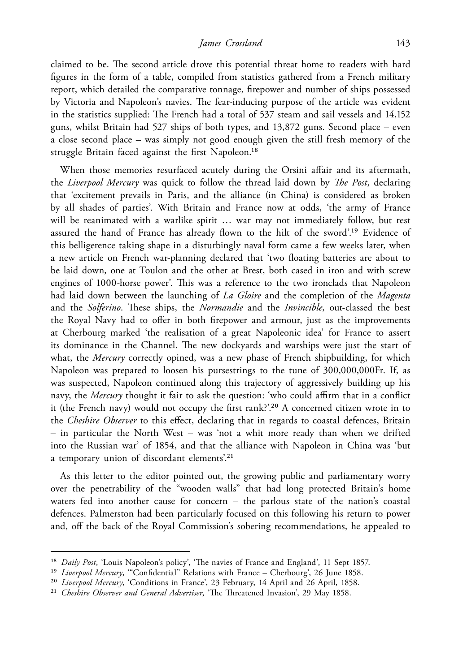claimed to be. The second article drove this potential threat home to readers with hard figures in the form of a table, compiled from statistics gathered from a French military report, which detailed the comparative tonnage, firepower and number of ships possessed by Victoria and Napoleon's navies. The fear-inducing purpose of the article was evident in the statistics supplied: The French had a total of 537 steam and sail vessels and 14,152 guns, whilst Britain had 527 ships of both types, and 13,872 guns. Second place – even a close second place – was simply not good enough given the still fresh memory of the struggle Britain faced against the first Napoleon.<sup>18</sup>

When those memories resurfaced acutely during the Orsini affair and its aftermath, the *Liverpool Mercury* was quick to follow the thread laid down by *The Post*, declaring that 'excitement prevails in Paris, and the alliance (in China) is considered as broken by all shades of parties'. With Britain and France now at odds, 'the army of France will be reanimated with a warlike spirit … war may not immediately follow, but rest assured the hand of France has already flown to the hilt of the sword'.19 Evidence of this belligerence taking shape in a disturbingly naval form came a few weeks later, when a new article on French war-planning declared that 'two floating batteries are about to be laid down, one at Toulon and the other at Brest, both cased in iron and with screw engines of 1000-horse power'. This was a reference to the two ironclads that Napoleon had laid down between the launching of *La Gloire* and the completion of the *Magenta* and the *Solferino*. These ships, the *Normandie* and the *Invincible*, out-classed the best the Royal Navy had to offer in both firepower and armour, just as the improvements at Cherbourg marked 'the realisation of a great Napoleonic idea' for France to assert its dominance in the Channel. The new dockyards and warships were just the start of what, the *Mercury* correctly opined, was a new phase of French shipbuilding, for which Napoleon was prepared to loosen his pursestrings to the tune of 300,000,000Fr. If, as was suspected, Napoleon continued along this trajectory of aggressively building up his navy, the *Mercury* thought it fair to ask the question: 'who could affirm that in a conflict it (the French navy) would not occupy the first rank?'.20 A concerned citizen wrote in to the *Cheshire Observer* to this effect, declaring that in regards to coastal defences, Britain – in particular the North West – was 'not a whit more ready than when we drifted into the Russian war' of 1854, and that the alliance with Napoleon in China was 'but a temporary union of discordant elements'.21

As this letter to the editor pointed out, the growing public and parliamentary worry over the penetrability of the "wooden walls" that had long protected Britain's home waters fed into another cause for concern – the parlous state of the nation's coastal defences. Palmerston had been particularly focused on this following his return to power and, off the back of the Royal Commission's sobering recommendations, he appealed to

<sup>18</sup> *Daily Post*, 'Louis Napoleon's policy', 'The navies of France and England', 11 Sept 1857.

<sup>19</sup> *Liverpool Mercury*, '"Confidential" Relations with France – Cherbourg', 26 June 1858.

<sup>20</sup> *Liverpool Mercury*, 'Conditions in France', 23 February, 14 April and 26 April, 1858.

<sup>21</sup> *Cheshire Observer and General Advertiser*, 'The Threatened Invasion', 29 May 1858.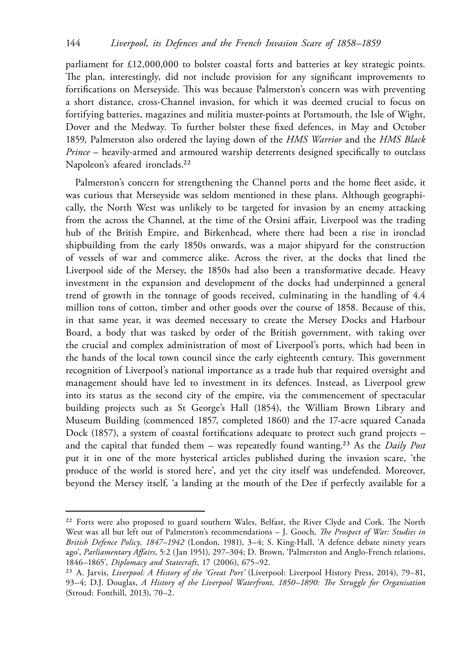parliament for £12,000,000 to bolster coastal forts and batteries at key strategic points. The plan, interestingly, did not include provision for any significant improvements to fortifications on Merseyside. This was because Palmerston's concern was with preventing a short distance, cross-Channel invasion, for which it was deemed crucial to focus on fortifying batteries, magazines and militia muster-points at Portsmouth, the Isle of Wight, Dover and the Medway. To further bolster these fixed defences, in May and October 1859, Palmerston also ordered the laying down of the *HMS Warrior* and the *HMS Black Prince* – heavily-armed and armoured warship deterrents designed specifically to outclass Napoleon's afeared ironclads.<sup>22</sup>

Palmerston's concern for strengthening the Channel ports and the home fleet aside, it was curious that Merseyside was seldom mentioned in these plans. Although geographically, the North West was unlikely to be targeted for invasion by an enemy attacking from the across the Channel, at the time of the Orsini affair, Liverpool was the trading hub of the British Empire, and Birkenhead, where there had been a rise in ironclad shipbuilding from the early 1850s onwards, was a major shipyard for the construction of vessels of war and commerce alike. Across the river, at the docks that lined the Liverpool side of the Mersey, the 1850s had also been a transformative decade. Heavy investment in the expansion and development of the docks had underpinned a general trend of growth in the tonnage of goods received, culminating in the handling of 4.4 million tons of cotton, timber and other goods over the course of 1858. Because of this, in that same year, it was deemed necessary to create the Mersey Docks and Harbour Board, a body that was tasked by order of the British government, with taking over the crucial and complex administration of most of Liverpool's ports, which had been in the hands of the local town council since the early eighteenth century. This government recognition of Liverpool's national importance as a trade hub that required oversight and management should have led to investment in its defences. Instead, as Liverpool grew into its status as the second city of the empire, via the commencement of spectacular building projects such as St George's Hall (1854), the William Brown Library and Museum Building (commenced 1857, completed 1860) and the 17-acre squared Canada Dock (1857), a system of coastal fortifications adequate to protect such grand projects – and the capital that funded them – was repeatedly found wanting.23 As the *Daily Post* put it in one of the more hysterical articles published during the invasion scare, 'the produce of the world is stored here', and yet the city itself was undefended. Moreover, beyond the Mersey itself, 'a landing at the mouth of the Dee if perfectly available for a

<sup>&</sup>lt;sup>22</sup> Forts were also proposed to guard southern Wales, Belfast, the River Clyde and Cork. The North West was all but left out of Palmerston's recommendations – J. Gooch, *The Prospect of War: Studies in British Defence Policy, 1847–1942* (London, 1981), 3–4; S. King-Hall, 'A defence debate ninety years ago', *Parliamentary Affairs*, 5:2 (Jan 1951), 297–304; D. Brown, 'Palmerston and Anglo-French relations, 1846–1865', *Diplomacy and Statecraft*, 17 (2006), 675–92.

<sup>23</sup> A. Jarvis, *Liverpool: A History of the 'Great Port'* (Liverpool: Liverpool History Press, 2014), 79–81, 93–4; D.J. Douglas, *A History of the Liverpool Waterfront, 1850–1890: The Struggle for Organisation* (Stroud: Fonthill, 2013), 70–2.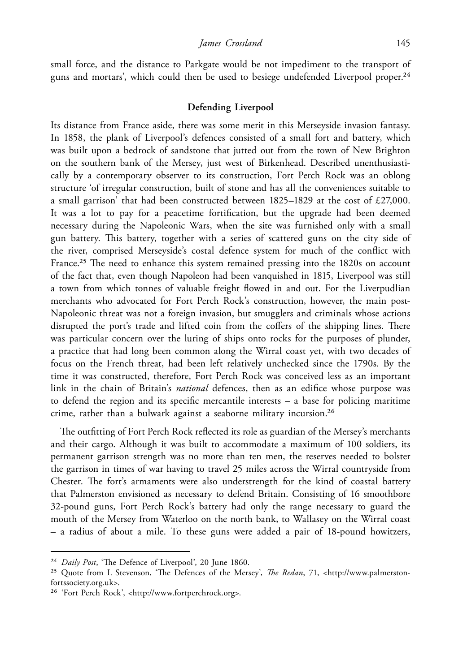small force, and the distance to Parkgate would be not impediment to the transport of guns and mortars', which could then be used to besiege undefended Liverpool proper.<sup>24</sup>

## **Defending Liverpool**

Its distance from France aside, there was some merit in this Merseyside invasion fantasy. In 1858, the plank of Liverpool's defences consisted of a small fort and battery, which was built upon a bedrock of sandstone that jutted out from the town of New Brighton on the southern bank of the Mersey, just west of Birkenhead. Described unenthusiastically by a contemporary observer to its construction, Fort Perch Rock was an oblong structure 'of irregular construction, built of stone and has all the conveniences suitable to a small garrison' that had been constructed between  $1825-1829$  at the cost of £27,000. It was a lot to pay for a peacetime fortification, but the upgrade had been deemed necessary during the Napoleonic Wars, when the site was furnished only with a small gun battery. This battery, together with a series of scattered guns on the city side of the river, comprised Merseyside's costal defence system for much of the conflict with France.<sup>25</sup> The need to enhance this system remained pressing into the 1820s on account of the fact that, even though Napoleon had been vanquished in 1815, Liverpool was still a town from which tonnes of valuable freight flowed in and out. For the Liverpudlian merchants who advocated for Fort Perch Rock's construction, however, the main post-Napoleonic threat was not a foreign invasion, but smugglers and criminals whose actions disrupted the port's trade and lifted coin from the coffers of the shipping lines. There was particular concern over the luring of ships onto rocks for the purposes of plunder, a practice that had long been common along the Wirral coast yet, with two decades of focus on the French threat, had been left relatively unchecked since the 1790s. By the time it was constructed, therefore, Fort Perch Rock was conceived less as an important link in the chain of Britain's *national* defences, then as an edifice whose purpose was to defend the region and its specific mercantile interests – a base for policing maritime crime, rather than a bulwark against a seaborne military incursion.26

The outfitting of Fort Perch Rock reflected its role as guardian of the Mersey's merchants and their cargo. Although it was built to accommodate a maximum of 100 soldiers, its permanent garrison strength was no more than ten men, the reserves needed to bolster the garrison in times of war having to travel 25 miles across the Wirral countryside from Chester. The fort's armaments were also understrength for the kind of coastal battery that Palmerston envisioned as necessary to defend Britain. Consisting of 16 smoothbore 32-pound guns, Fort Perch Rock's battery had only the range necessary to guard the mouth of the Mersey from Waterloo on the north bank, to Wallasey on the Wirral coast – a radius of about a mile. To these guns were added a pair of 18-pound howitzers,

<sup>24</sup> *Daily Post*, 'The Defence of Liverpool', 20 June 1860.

<sup>25</sup> Quote from I. Stevenson, 'The Defences of the Mersey', *The Redan*, 71, <http://www.palmerstonfortssociety.org.uk>.

<sup>26</sup> 'Fort Perch Rock', <http://www.fortperchrock.org>.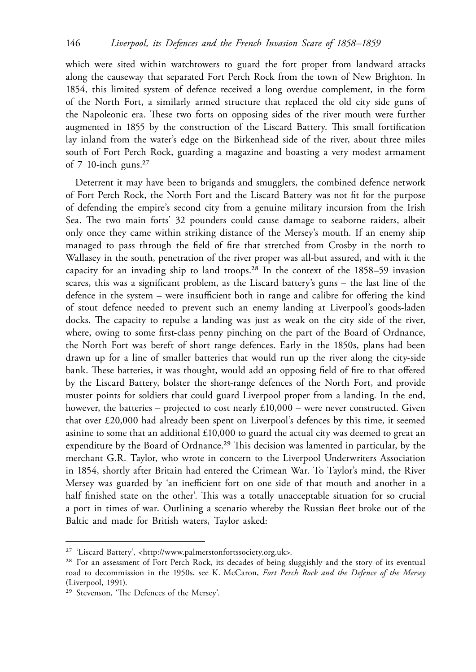which were sited within watchtowers to guard the fort proper from landward attacks along the causeway that separated Fort Perch Rock from the town of New Brighton. In 1854, this limited system of defence received a long overdue complement, in the form of the North Fort, a similarly armed structure that replaced the old city side guns of the Napoleonic era. These two forts on opposing sides of the river mouth were further augmented in 1855 by the construction of the Liscard Battery. This small fortification lay inland from the water's edge on the Birkenhead side of the river, about three miles south of Fort Perch Rock, guarding a magazine and boasting a very modest armament of  $7$  10-inch guns.<sup>27</sup>

Deterrent it may have been to brigands and smugglers, the combined defence network of Fort Perch Rock, the North Fort and the Liscard Battery was not fit for the purpose of defending the empire's second city from a genuine military incursion from the Irish Sea. The two main forts' 32 pounders could cause damage to seaborne raiders, albeit only once they came within striking distance of the Mersey's mouth. If an enemy ship managed to pass through the field of fire that stretched from Crosby in the north to Wallasey in the south, penetration of the river proper was all-but assured, and with it the capacity for an invading ship to land troops.28 In the context of the 1858–59 invasion scares, this was a significant problem, as the Liscard battery's guns – the last line of the defence in the system – were insufficient both in range and calibre for offering the kind of stout defence needed to prevent such an enemy landing at Liverpool's goods-laden docks. The capacity to repulse a landing was just as weak on the city side of the river, where, owing to some first-class penny pinching on the part of the Board of Ordnance, the North Fort was bereft of short range defences. Early in the 1850s, plans had been drawn up for a line of smaller batteries that would run up the river along the city-side bank. These batteries, it was thought, would add an opposing field of fire to that offered by the Liscard Battery, bolster the short-range defences of the North Fort, and provide muster points for soldiers that could guard Liverpool proper from a landing. In the end, however, the batteries – projected to cost nearly  $£10,000$  – were never constructed. Given that over £20,000 had already been spent on Liverpool's defences by this time, it seemed asinine to some that an additional  $£10,000$  to guard the actual city was deemed to great an expenditure by the Board of Ordnance.<sup>29</sup> This decision was lamented in particular, by the merchant G.R. Taylor, who wrote in concern to the Liverpool Underwriters Association in 1854, shortly after Britain had entered the Crimean War. To Taylor's mind, the River Mersey was guarded by 'an inefficient fort on one side of that mouth and another in a half finished state on the other'. This was a totally unacceptable situation for so crucial a port in times of war. Outlining a scenario whereby the Russian fleet broke out of the Baltic and made for British waters, Taylor asked:

<sup>27</sup> 'Liscard Battery', <http://www.palmerstonfortssociety.org.uk>.

<sup>28</sup> For an assessment of Fort Perch Rock, its decades of being sluggishly and the story of its eventual road to decommission in the 1950s, see K. McCaron, *Fort Perch Rock and the Defence of the Mersey*  (Liverpool, 1991).

<sup>29</sup> Stevenson, 'The Defences of the Mersey'.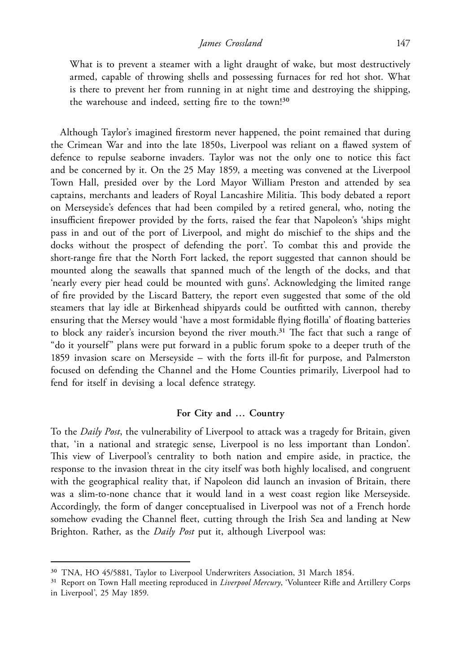What is to prevent a steamer with a light draught of wake, but most destructively armed, capable of throwing shells and possessing furnaces for red hot shot. What is there to prevent her from running in at night time and destroying the shipping, the warehouse and indeed, setting fire to the town!30

Although Taylor's imagined firestorm never happened, the point remained that during the Crimean War and into the late 1850s, Liverpool was reliant on a flawed system of defence to repulse seaborne invaders. Taylor was not the only one to notice this fact and be concerned by it. On the 25 May 1859, a meeting was convened at the Liverpool Town Hall, presided over by the Lord Mayor William Preston and attended by sea captains, merchants and leaders of Royal Lancashire Militia. This body debated a report on Merseyside's defences that had been compiled by a retired general, who, noting the insufficient firepower provided by the forts, raised the fear that Napoleon's 'ships might pass in and out of the port of Liverpool, and might do mischief to the ships and the docks without the prospect of defending the port'. To combat this and provide the short-range fire that the North Fort lacked, the report suggested that cannon should be mounted along the seawalls that spanned much of the length of the docks, and that 'nearly every pier head could be mounted with guns'. Acknowledging the limited range of fire provided by the Liscard Battery, the report even suggested that some of the old steamers that lay idle at Birkenhead shipyards could be outfitted with cannon, thereby ensuring that the Mersey would 'have a most formidable flying flotilla' of floating batteries to block any raider's incursion beyond the river mouth.<sup>31</sup> The fact that such a range of "do it yourself" plans were put forward in a public forum spoke to a deeper truth of the 1859 invasion scare on Merseyside – with the forts ill-fit for purpose, and Palmerston focused on defending the Channel and the Home Counties primarily, Liverpool had to fend for itself in devising a local defence strategy.

### **For City and … Country**

To the *Daily Post*, the vulnerability of Liverpool to attack was a tragedy for Britain, given that, 'in a national and strategic sense, Liverpool is no less important than London'. This view of Liverpool's centrality to both nation and empire aside, in practice, the response to the invasion threat in the city itself was both highly localised, and congruent with the geographical reality that, if Napoleon did launch an invasion of Britain, there was a slim-to-none chance that it would land in a west coast region like Merseyside. Accordingly, the form of danger conceptualised in Liverpool was not of a French horde somehow evading the Channel fleet, cutting through the Irish Sea and landing at New Brighton. Rather, as the *Daily Post* put it, although Liverpool was:

<sup>30</sup> TNA, HO 45/5881, Taylor to Liverpool Underwriters Association, 31 March 1854.

<sup>31</sup> Report on Town Hall meeting reproduced in *Liverpool Mercury*, 'Volunteer Rifle and Artillery Corps in Liverpool', 25 May 1859.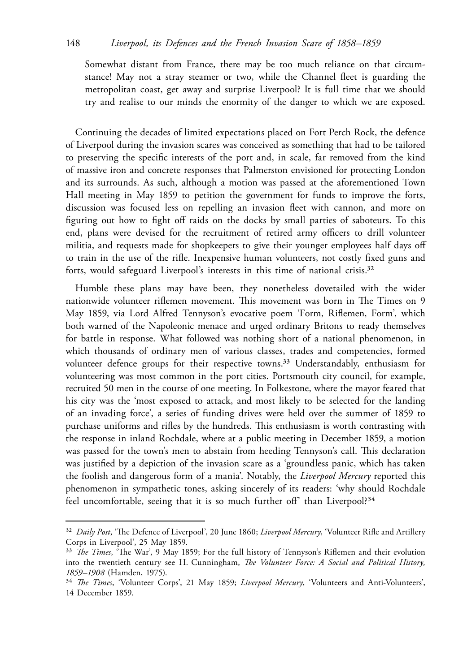Somewhat distant from France, there may be too much reliance on that circumstance! May not a stray steamer or two, while the Channel fleet is guarding the metropolitan coast, get away and surprise Liverpool? It is full time that we should try and realise to our minds the enormity of the danger to which we are exposed.

Continuing the decades of limited expectations placed on Fort Perch Rock, the defence of Liverpool during the invasion scares was conceived as something that had to be tailored to preserving the specific interests of the port and, in scale, far removed from the kind of massive iron and concrete responses that Palmerston envisioned for protecting London and its surrounds. As such, although a motion was passed at the aforementioned Town Hall meeting in May 1859 to petition the government for funds to improve the forts, discussion was focused less on repelling an invasion fleet with cannon, and more on figuring out how to fight off raids on the docks by small parties of saboteurs. To this end, plans were devised for the recruitment of retired army officers to drill volunteer militia, and requests made for shopkeepers to give their younger employees half days off to train in the use of the rifle. Inexpensive human volunteers, not costly fixed guns and forts, would safeguard Liverpool's interests in this time of national crisis.<sup>32</sup>

Humble these plans may have been, they nonetheless dovetailed with the wider nationwide volunteer riflemen movement. This movement was born in The Times on 9 May 1859, via Lord Alfred Tennyson's evocative poem 'Form, Riflemen, Form', which both warned of the Napoleonic menace and urged ordinary Britons to ready themselves for battle in response. What followed was nothing short of a national phenomenon, in which thousands of ordinary men of various classes, trades and competencies, formed volunteer defence groups for their respective towns.<sup>33</sup> Understandably, enthusiasm for volunteering was most common in the port cities. Portsmouth city council, for example, recruited 50 men in the course of one meeting. In Folkestone, where the mayor feared that his city was the 'most exposed to attack, and most likely to be selected for the landing of an invading force', a series of funding drives were held over the summer of 1859 to purchase uniforms and rifles by the hundreds. This enthusiasm is worth contrasting with the response in inland Rochdale, where at a public meeting in December 1859, a motion was passed for the town's men to abstain from heeding Tennyson's call. This declaration was justified by a depiction of the invasion scare as a 'groundless panic, which has taken the foolish and dangerous form of a mania'. Notably, the *Liverpool Mercury* reported this phenomenon in sympathetic tones, asking sincerely of its readers: 'why should Rochdale feel uncomfortable, seeing that it is so much further off' than Liverpool?<sup>34</sup>

<sup>32</sup> *Daily Post*, 'The Defence of Liverpool', 20 June 1860; *Liverpool Mercury*, 'Volunteer Rifle and Artillery Corps in Liverpool', 25 May 1859.

<sup>33</sup> *The Times*, 'The War', 9 May 1859; For the full history of Tennyson's Riflemen and their evolution into the twentieth century see H. Cunningham, *The Volunteer Force: A Social and Political History, 1859–1908* (Hamden, 1975).

<sup>34</sup> *The Times*, 'Volunteer Corps', 21 May 1859; *Liverpool Mercury*, 'Volunteers and Anti-Volunteers', 14 December 1859.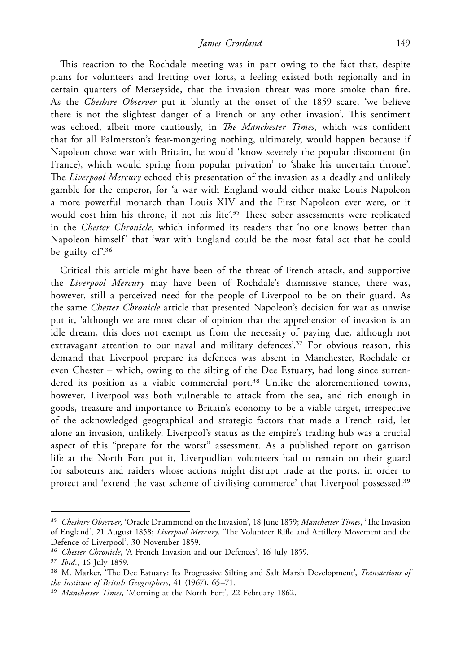This reaction to the Rochdale meeting was in part owing to the fact that, despite plans for volunteers and fretting over forts, a feeling existed both regionally and in certain quarters of Merseyside, that the invasion threat was more smoke than fire. As the *Cheshire Observer* put it bluntly at the onset of the 1859 scare, 'we believe there is not the slightest danger of a French or any other invasion'. This sentiment was echoed, albeit more cautiously, in *The Manchester Times*, which was confident that for all Palmerston's fear-mongering nothing, ultimately, would happen because if Napoleon chose war with Britain, he would 'know severely the popular discontent (in France), which would spring from popular privation' to 'shake his uncertain throne'. The *Liverpool Mercury* echoed this presentation of the invasion as a deadly and unlikely gamble for the emperor, for 'a war with England would either make Louis Napoleon a more powerful monarch than Louis XIV and the First Napoleon ever were, or it would cost him his throne, if not his life'.<sup>35</sup> These sober assessments were replicated in the *Chester Chronicle*, which informed its readers that 'no one knows better than Napoleon himself' that 'war with England could be the most fatal act that he could be guilty of<sup>'36</sup>

Critical this article might have been of the threat of French attack, and supportive the *Liverpool Mercury* may have been of Rochdale's dismissive stance, there was, however, still a perceived need for the people of Liverpool to be on their guard. As the same *Chester Chronicle* article that presented Napoleon's decision for war as unwise put it, 'although we are most clear of opinion that the apprehension of invasion is an idle dream, this does not exempt us from the necessity of paying due, although not extravagant attention to our naval and military defences'.<sup>37</sup> For obvious reason, this demand that Liverpool prepare its defences was absent in Manchester, Rochdale or even Chester – which, owing to the silting of the Dee Estuary, had long since surrendered its position as a viable commercial port.<sup>38</sup> Unlike the aforementioned towns, however, Liverpool was both vulnerable to attack from the sea, and rich enough in goods, treasure and importance to Britain's economy to be a viable target, irrespective of the acknowledged geographical and strategic factors that made a French raid, let alone an invasion, unlikely. Liverpool's status as the empire's trading hub was a crucial aspect of this "prepare for the worst" assessment. As a published report on garrison life at the North Fort put it, Liverpudlian volunteers had to remain on their guard for saboteurs and raiders whose actions might disrupt trade at the ports, in order to protect and 'extend the vast scheme of civilising commerce' that Liverpool possessed.<sup>39</sup>

<sup>35</sup> *Cheshire Observer,* 'Oracle Drummond on the Invasion', 18 June 1859; *Manchester Times*, 'The Invasion of England', 21 August 1858; *Liverpool Mercury*, 'The Volunteer Rifle and Artillery Movement and the Defence of Liverpool', 30 November 1859.

<sup>36</sup> *Chester Chronicle*, 'A French Invasion and our Defences', 16 July 1859.

<sup>37</sup> *Ibid.*, 16 July 1859.

<sup>38</sup> M. Marker, 'The Dee Estuary: Its Progressive Silting and Salt Marsh Development', *Transactions of the Institute of British Geographers*, 41 (1967), 65–71.

<sup>39</sup> *Manchester Times*, 'Morning at the North Fort', 22 February 1862.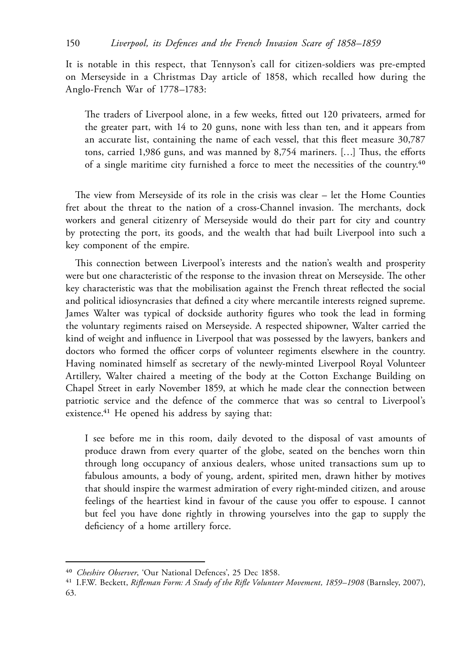It is notable in this respect, that Tennyson's call for citizen-soldiers was pre-empted on Merseyside in a Christmas Day article of 1858, which recalled how during the Anglo-French War of 1778–1783:

The traders of Liverpool alone, in a few weeks, fitted out 120 privateers, armed for the greater part, with 14 to 20 guns, none with less than ten, and it appears from an accurate list, containing the name of each vessel, that this fleet measure 30,787 tons, carried 1,986 guns, and was manned by 8,754 mariners. […] Thus, the efforts of a single maritime city furnished a force to meet the necessities of the country.40

The view from Merseyside of its role in the crisis was clear – let the Home Counties fret about the threat to the nation of a cross-Channel invasion. The merchants, dock workers and general citizenry of Merseyside would do their part for city and country by protecting the port, its goods, and the wealth that had built Liverpool into such a key component of the empire.

This connection between Liverpool's interests and the nation's wealth and prosperity were but one characteristic of the response to the invasion threat on Merseyside. The other key characteristic was that the mobilisation against the French threat reflected the social and political idiosyncrasies that defined a city where mercantile interests reigned supreme. James Walter was typical of dockside authority figures who took the lead in forming the voluntary regiments raised on Merseyside. A respected shipowner, Walter carried the kind of weight and influence in Liverpool that was possessed by the lawyers, bankers and doctors who formed the officer corps of volunteer regiments elsewhere in the country. Having nominated himself as secretary of the newly-minted Liverpool Royal Volunteer Artillery, Walter chaired a meeting of the body at the Cotton Exchange Building on Chapel Street in early November 1859, at which he made clear the connection between patriotic service and the defence of the commerce that was so central to Liverpool's existence.<sup>41</sup> He opened his address by saying that:

I see before me in this room, daily devoted to the disposal of vast amounts of produce drawn from every quarter of the globe, seated on the benches worn thin through long occupancy of anxious dealers, whose united transactions sum up to fabulous amounts, a body of young, ardent, spirited men, drawn hither by motives that should inspire the warmest admiration of every right-minded citizen, and arouse feelings of the heartiest kind in favour of the cause you offer to espouse. I cannot but feel you have done rightly in throwing yourselves into the gap to supply the deficiency of a home artillery force.

<sup>40</sup> *Cheshire Observer*, 'Our National Defences', 25 Dec 1858.

<sup>41</sup> I.F.W. Beckett, *Rifleman Form: A Study of the Rifle Volunteer Movement, 1859–1908* (Barnsley, 2007), 63.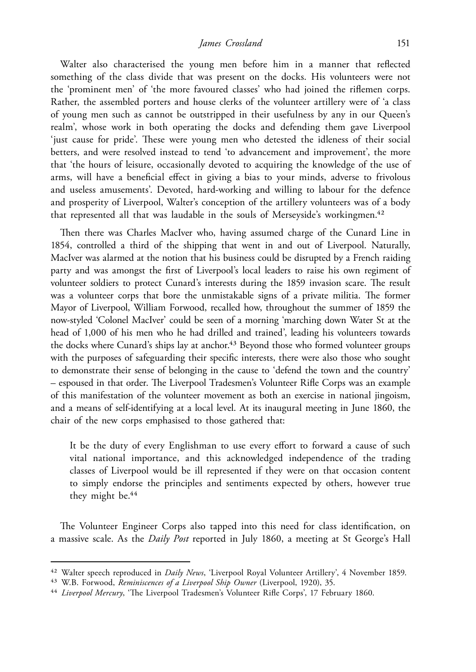*James Crossland* 151

Walter also characterised the young men before him in a manner that reflected something of the class divide that was present on the docks. His volunteers were not the 'prominent men' of 'the more favoured classes' who had joined the riflemen corps. Rather, the assembled porters and house clerks of the volunteer artillery were of 'a class of young men such as cannot be outstripped in their usefulness by any in our Queen's realm', whose work in both operating the docks and defending them gave Liverpool 'just cause for pride'. These were young men who detested the idleness of their social betters, and were resolved instead to tend 'to advancement and improvement', the more that 'the hours of leisure, occasionally devoted to acquiring the knowledge of the use of arms, will have a beneficial effect in giving a bias to your minds, adverse to frivolous and useless amusements'. Devoted, hard-working and willing to labour for the defence and prosperity of Liverpool, Walter's conception of the artillery volunteers was of a body that represented all that was laudable in the souls of Merseyside's workingmen.<sup>42</sup>

Then there was Charles MacIver who, having assumed charge of the Cunard Line in 1854, controlled a third of the shipping that went in and out of Liverpool. Naturally, MacIver was alarmed at the notion that his business could be disrupted by a French raiding party and was amongst the first of Liverpool's local leaders to raise his own regiment of volunteer soldiers to protect Cunard's interests during the 1859 invasion scare. The result was a volunteer corps that bore the unmistakable signs of a private militia. The former Mayor of Liverpool, William Forwood, recalled how, throughout the summer of 1859 the now-styled 'Colonel MacIver' could be seen of a morning 'marching down Water St at the head of 1,000 of his men who he had drilled and trained', leading his volunteers towards the docks where Cunard's ships lay at anchor.<sup>43</sup> Beyond those who formed volunteer groups with the purposes of safeguarding their specific interests, there were also those who sought to demonstrate their sense of belonging in the cause to 'defend the town and the country' – espoused in that order. The Liverpool Tradesmen's Volunteer Rifle Corps was an example of this manifestation of the volunteer movement as both an exercise in national jingoism, and a means of self-identifying at a local level. At its inaugural meeting in June 1860, the chair of the new corps emphasised to those gathered that:

It be the duty of every Englishman to use every effort to forward a cause of such vital national importance, and this acknowledged independence of the trading classes of Liverpool would be ill represented if they were on that occasion content to simply endorse the principles and sentiments expected by others, however true they might be.<sup>44</sup>

The Volunteer Engineer Corps also tapped into this need for class identification, on a massive scale. As the *Daily Post* reported in July 1860, a meeting at St George's Hall

<sup>42</sup> Walter speech reproduced in *Daily News*, 'Liverpool Royal Volunteer Artillery', 4 November 1859.

<sup>43</sup> W.B. Forwood, *Reminiscences of a Liverpool Ship Owner* (Liverpool, 1920), 35.

<sup>44</sup> *Liverpool Mercury*, 'The Liverpool Tradesmen's Volunteer Rifle Corps', 17 February 1860.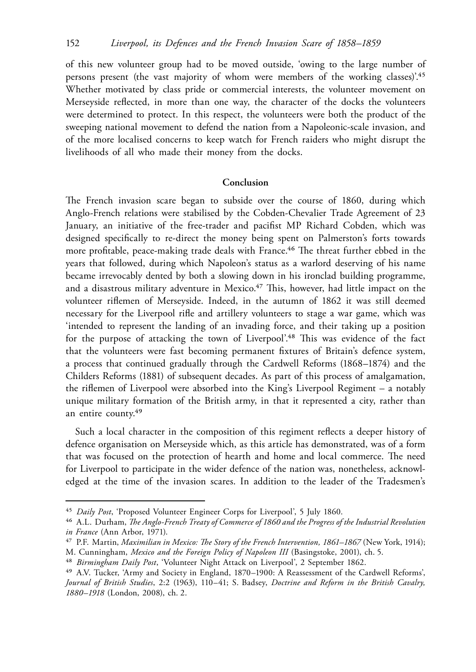of this new volunteer group had to be moved outside, 'owing to the large number of persons present (the vast majority of whom were members of the working classes)'.<sup>45</sup> Whether motivated by class pride or commercial interests, the volunteer movement on Merseyside reflected, in more than one way, the character of the docks the volunteers were determined to protect. In this respect, the volunteers were both the product of the sweeping national movement to defend the nation from a Napoleonic-scale invasion, and of the more localised concerns to keep watch for French raiders who might disrupt the livelihoods of all who made their money from the docks.

## **Conclusion**

The French invasion scare began to subside over the course of 1860, during which Anglo-French relations were stabilised by the Cobden-Chevalier Trade Agreement of 23 January, an initiative of the free-trader and pacifist MP Richard Cobden, which was designed specifically to re-direct the money being spent on Palmerston's forts towards more profitable, peace-making trade deals with France.<sup>46</sup> The threat further ebbed in the years that followed, during which Napoleon's status as a warlord deserving of his name became irrevocably dented by both a slowing down in his ironclad building programme, and a disastrous military adventure in Mexico.<sup>47</sup> This, however, had little impact on the volunteer riflemen of Merseyside. Indeed, in the autumn of 1862 it was still deemed necessary for the Liverpool rifle and artillery volunteers to stage a war game, which was 'intended to represent the landing of an invading force, and their taking up a position for the purpose of attacking the town of Liverpool'.<sup>48</sup> This was evidence of the fact that the volunteers were fast becoming permanent fixtures of Britain's defence system, a process that continued gradually through the Cardwell Reforms (1868–1874) and the Childers Reforms (1881) of subsequent decades. As part of this process of amalgamation, the riflemen of Liverpool were absorbed into the King's Liverpool Regiment – a notably unique military formation of the British army, in that it represented a city, rather than an entire county.49

Such a local character in the composition of this regiment reflects a deeper history of defence organisation on Merseyside which, as this article has demonstrated, was of a form that was focused on the protection of hearth and home and local commerce. The need for Liverpool to participate in the wider defence of the nation was, nonetheless, acknowledged at the time of the invasion scares. In addition to the leader of the Tradesmen's

<sup>45</sup> *Daily Post*, 'Proposed Volunteer Engineer Corps for Liverpool', 5 July 1860.

<sup>46</sup> A.L. Durham, *The Anglo-French Treaty of Commerce of 1860 and the Progress of the Industrial Revolution in France* (Ann Arbor, 1971).

<sup>&</sup>lt;sup>47</sup> P.F. Martin, *Maximilian in Mexico: The Story of the French Intervention, 1861–1867* (New York, 1914); M. Cunningham, *Mexico and the Foreign Policy of Napoleon III* (Basingstoke, 2001), ch. 5.

<sup>48</sup> *Birmingham Daily Post*, 'Volunteer Night Attack on Liverpool', 2 September 1862.

<sup>49</sup> A.V. Tucker, 'Army and Society in England, 1870–1900: A Reassessment of the Cardwell Reforms', *Journal of British Studies*, 2:2 (1963), 110–41; S. Badsey, *Doctrine and Reform in the British Cavalry, 1880–1918* (London, 2008), ch. 2.